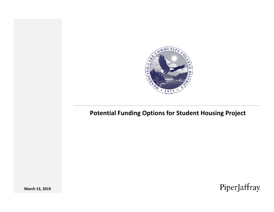

#### **Potential Funding Options for Student Housing Project**

PiperJaffray

**March 13, 2019**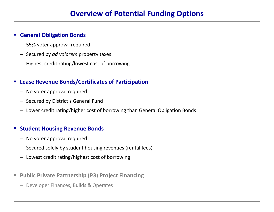#### П **General Obligation Bonds**

- 55% voter approval required
- Secured by *ad valorem* property taxes
- Highest credit rating/lowest cost of borrowing

#### $\mathcal{L}_{\mathcal{A}}$ **Lease Revenue Bonds/Certificates of Participation**

- No voter approval required
- Secured by District's General Fund
- Lower credit rating/higher cost of borrowing than General Obligation Bonds

#### П **Student Housing Revenue Bonds**

- No voter approval required
- Secured solely by student housing revenues (rental fees)
- Lowest credit rating/highest cost of borrowing
- $\mathcal{L}_{\mathcal{A}}$  **Public Private Partnership (P3) Project Financing**
	- Developer Finances, Builds & Operates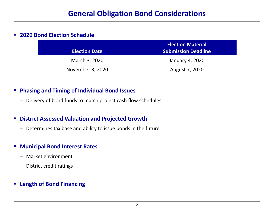#### $\mathcal{L}_{\mathcal{A}}$ **2020 Bond Election Schedule**

| <b>Election Date</b> | <b>Election Material</b><br><b>Submission Deadline</b> |
|----------------------|--------------------------------------------------------|
| March 3, 2020        | January 4, 2020                                        |
| November 3, 2020     | August 7, 2020                                         |

#### $\mathcal{L}_{\mathcal{A}}$ **Phasing and Timing of Individual Bond Issues**

– Delivery of bond funds to match project cash flow schedules

#### $\mathcal{L}_{\mathcal{A}}$ **District Assessed Valuation and Projected Growth**

– Determines tax base and ability to issue bonds in the future

#### $\blacksquare$ **Municipal Bond Interest Rates**

- Market environment
- District credit ratings
- **Length of Bond Financing**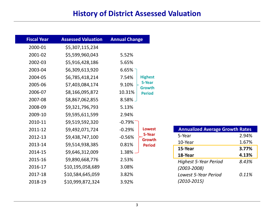### **History of District Assessed Valuation**

| <b>Fiscal Year</b> | <b>Assessed Valuation</b> | <b>Annual Change</b> |                         |
|--------------------|---------------------------|----------------------|-------------------------|
| 2000-01            | \$5,307,115,234           |                      |                         |
| 2001-02            | \$5,599,960,043           | 5.52%                |                         |
| 2002-03            | \$5,916,428,186           | 5.65%                |                         |
| 2003-04            | \$6,309,613,920           | 6.65%                |                         |
| 2004-05            | \$6,785,418,214           | 7.54%                | <b>Highest</b>          |
| 2005-06            | \$7,403,084,174           | 9.10%                | 5-Year<br><b>Growth</b> |
| 2006-07            | \$8,166,095,872           | 10.31%               | <b>Period</b>           |
| 2007-08            | \$8,867,062,855           | $8.58\%$ $-$         |                         |
| 2008-09            | \$9,321,796,793           | 5.13%                |                         |
| 2009-10            | \$9,595,611,599           | 2.94%                |                         |
| 2010-11            | \$9,519,592,320           | $-0.79%$             |                         |
| 2011-12            | \$9,492,071,724           | $-0.29%$             | <b>Lowest</b>           |
| 2012-13            | \$9,438,747,100           | $-0.56%$             | 5-Year<br>Growth        |
| 2013-14            | \$9,514,938,385           | 0.81%                | <b>Period</b>           |
| 2014-15            | \$9,646,312,009           | 1.38%                |                         |
| 2015-16            | \$9,890,668,776           | 2.53%                |                         |
| 2016-17            | \$10,195,058,689          | 3.08%                |                         |
| 2017-18            | \$10,584,645,059          | 3.82%                |                         |
| 2018-19            | \$10,999,872,324          | 3.92%                |                         |

| <b>Annualized Average Growth Rates</b> |       |  |  |
|----------------------------------------|-------|--|--|
| 5-Year                                 | 2.94% |  |  |
| 10-Year                                | 1.67% |  |  |
| 15-Year                                | 3.77% |  |  |
| 18-Year                                | 4.13% |  |  |
| <b>Highest 5-Year Period</b>           | 8.43% |  |  |
| $(2003 - 2008)$                        |       |  |  |
| Lowest 5-Year Period                   | 0.11% |  |  |
| $(2010 - 2015)$                        |       |  |  |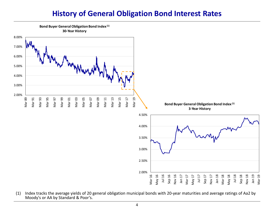### **History of General Obligation Bond Interest Rates**



(1) Index tracks the average yields of 20 general obligation municipal bonds with 20‐year maturities and average ratings of Aa2 by Moody's or AA by Standard & Poor's.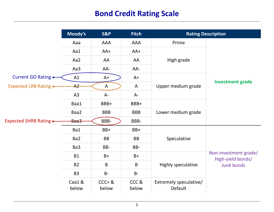### **Bond Credit Rating Scale**

|                       | Moody's        | S&P                | <b>Fitch</b>  | <b>Rating Description</b>         |                                                                 |  |
|-----------------------|----------------|--------------------|---------------|-----------------------------------|-----------------------------------------------------------------|--|
|                       | Aaa            | <b>AAA</b>         | AAA           | Prime                             |                                                                 |  |
|                       | Aa1            | $AA+$              | AA+           |                                   | <b>Investment grade</b>                                         |  |
|                       | Aa2            | AA                 | AA            | High grade                        |                                                                 |  |
|                       | Aa3            | AA-                | AA-           |                                   |                                                                 |  |
| Current GO Rating +   | A1             | $A+$               | $A+$          |                                   |                                                                 |  |
| Expected LRB Rating < | A <sup>2</sup> | $\mathsf{A}$       | $\mathsf{A}$  | Upper medium grade                |                                                                 |  |
| Expected SHRB Rating  | A3             | $A -$              | $A -$         |                                   |                                                                 |  |
|                       | Baa1           | BBB+               | BBB+          |                                   |                                                                 |  |
|                       | Baa2           | <b>BBB</b>         | <b>BBB</b>    | Lower medium grade                |                                                                 |  |
|                       | Baa3           | BBB-               | BBB-          |                                   |                                                                 |  |
|                       | Ba1            | BB+                | BB+           |                                   |                                                                 |  |
|                       | Ba2            | <b>BB</b>          | <b>BB</b>     | Speculative                       | Non-investment grade/<br>High-yield bonds/<br><b>Junk bonds</b> |  |
|                       | Ba3            | BB-                | BB-           |                                   |                                                                 |  |
|                       | <b>B1</b>      | $B+$               | $B+$          |                                   |                                                                 |  |
|                       | <b>B2</b>      | $\mathsf B$        | B             | Highly speculative                |                                                                 |  |
|                       | <b>B3</b>      | $B -$              | $B -$         |                                   |                                                                 |  |
|                       | Caa1&<br>below | $CCC + 8$<br>below | CCC&<br>below | Extremely speculative/<br>Default |                                                                 |  |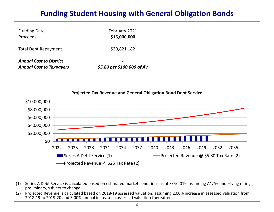## **Funding Student Housing with General Obligation Bonds**

| <b>Funding Date</b><br>Proceeds                                   | February 2021<br>\$16,000,000 |  |  |
|-------------------------------------------------------------------|-------------------------------|--|--|
| Total Debt Repayment                                              | \$30,821,182                  |  |  |
| <b>Annual Cost to District</b><br><b>Annual Cost to Taxpayers</b> | \$5.80 per \$100,000 of AV    |  |  |



- (1) Series A Debt Service is calculated based on estimated market conditions as of 3/6/2019, assuming A1/A+ underlying ratings; preliminary, subject to change.
- (2) Projected Revenue is calculated based on 2018‐19 assessed valuation, assuming 2.00% increase in assessed valuation from 2018‐19 to 2019‐20 and 3.00% annual increase in assessed valuation thereafter.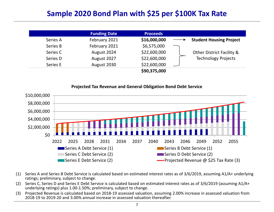## **Sample 2020 Bond Plan with \$25 per \$100K Tax Rate**

|          | <b>Funding Date</b> | <b>Proceeds</b> |                                      |
|----------|---------------------|-----------------|--------------------------------------|
| Series A | February 2021       | \$16,000,000    | <b>Student Housing Project</b>       |
| Series B | February 2021       | \$6,575,000     |                                      |
| Series C | August 2024         | \$22,600,000    | <b>Other District Facility &amp;</b> |
| Series D | August 2027         | \$22,600,000    | <b>Technology Projects</b>           |
| Series E | August 2030         | \$22,600,000    |                                      |
|          |                     | \$90,375,000    |                                      |

#### \$0 \$2,000,000 \$4,000,000 \$6,000,000 \$8,000,000 \$10,000,000 2022 2025 2028 2031 2034 2037 2040 2043 2046 2049 2052 2055 **Projected Tax Revenue and General Obligation Bond Debt Service** Series ASeries B Debt Service (1) Series C**Debt Service (2)** Service (2) Series E Debt Service(2) Projected Revenue @ \$25 Tax Rate (3)

- (1) Series A and Series B Debt Service is calculated based on estimated interest rates as of 3/6/2019, assuming A1/A+ underlying ratings; preliminary, subject to change.
- (2) Series C, Series D and Series E Debt Service is calculated based on estimated interest rates as of 3/6/2019 (assuming A1/A+ underlying ratings) plus 1.00‐1.50%; preliminary, subject to change.
- (3) Projected Revenue is calculated based on 2018‐19 assessed valuation, assuming 2.00% increase in assessed valuation from 2018‐19 to 2019‐20 and 3.00% annual increase in assessed valuation thereafter.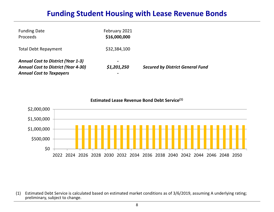### **Funding Student Housing with Lease Revenue Bonds**

| <b>Funding Date</b><br>Proceeds                                                                                            | February 2021<br>\$16,000,000       |                                         |
|----------------------------------------------------------------------------------------------------------------------------|-------------------------------------|-----------------------------------------|
| <b>Total Debt Repayment</b>                                                                                                | \$32,384,100                        |                                         |
| <b>Annual Cost to District (Year 1-3)</b><br><b>Annual Cost to District (Year 4-30)</b><br><b>Annual Cost to Taxpayers</b> | -<br>\$1,201,250<br>$\qquad \qquad$ | <b>Secured by District General Fund</b> |

\$0 \$500,000 \$1,000,000 \$1,500,000 \$2,000,000 2022 2024 2026 2028 2030 2032 2034 2036 2038 2040 2042 2044 2046 2048 2050 **Estimated Lease Revenue Bond Debt Service(1)**

(1) Estimated Debt Service is calculated based on estimated market conditions as of 3/6/2019, assuming A underlying rating; preliminary, subject to change.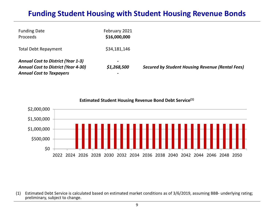### **Funding Student Housing with Student Housing Revenue Bonds**

| <b>Funding Date</b><br><b>Proceeds</b>                                                                                     | February 2021<br>\$16,000,000                |                                                         |
|----------------------------------------------------------------------------------------------------------------------------|----------------------------------------------|---------------------------------------------------------|
| <b>Total Debt Repayment</b>                                                                                                | \$34,181,146                                 |                                                         |
| <b>Annual Cost to District (Year 1-3)</b><br><b>Annual Cost to District (Year 4-30)</b><br><b>Annual Cost to Taxpayers</b> | $\overline{\phantom{a}}$<br>\$1,268,500<br>- | <b>Secured by Student Housing Revenue (Rental Fees)</b> |



**Estimated Student Housing Revenue Bond Debt Service(1)**

(1) Estimated Debt Service is calculated based on estimated market conditions as of 3/6/2019, assuming BBB‐ underlying rating; preliminary, subject to change.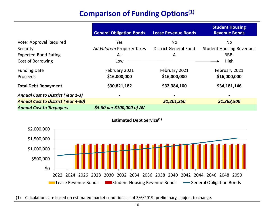# **Comparison of Funding Options(1)**

|                                            | <b>General Obligation Bonds</b> | <b>Lease Revenue Bonds</b>   | <b>Student Housing</b><br><b>Revenue Bonds</b> |
|--------------------------------------------|---------------------------------|------------------------------|------------------------------------------------|
| <b>Voter Approval Required</b>             | Yes                             | <b>No</b>                    | No.                                            |
| Security                                   | Ad Valorem Property Taxes       | <b>District General Fund</b> | <b>Student Housing Revenues</b>                |
| <b>Expected Bond Rating</b>                | $A+$                            | A                            | BBB-                                           |
| Cost of Borrowing                          | Low                             |                              | High                                           |
| <b>Funding Date</b>                        | February 2021                   | February 2021                | February 2021                                  |
| <b>Proceeds</b>                            | \$16,000,000                    | \$16,000,000                 | \$16,000,000                                   |
| <b>Total Debt Repayment</b>                | \$30,821,182                    | \$32,384,100                 | \$34,181,146                                   |
| <b>Annual Cost to District (Year 1-3)</b>  |                                 |                              |                                                |
| <b>Annual Cost to District (Year 4-30)</b> |                                 | \$1,201,250                  | \$1,268,500                                    |
| <b>Annual Cost to Taxpayers</b>            | \$5.80 per \$100,000 of AV      |                              |                                                |





(1) Calculations are based on estimated market conditions as of 3/6/2019; preliminary, subject to change.